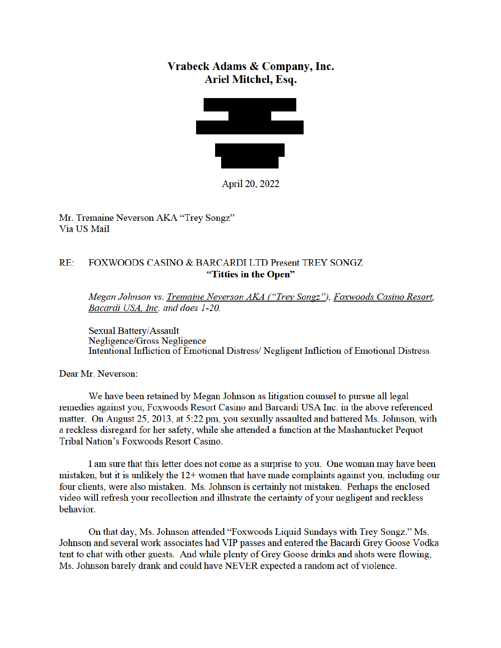## Vrabeck Adams & Company, Inc. Ariel Mitchel, Esq.



April 20, 2022

Mr. Tremaine Neverson AKA "Trey Songz" Via US Mail

## $RE:$ FOXWOODS CASINO & BARCARDI LTD Present TREY SONGZ "Titties in the Open"

Megan Johnson vs. Tremaine Neverson AKA ("Trey Songz"), Foxwoods Casino Resort, Bacardi USA, Inc. and does 1-20.

Sexual Battery/Assault Negligence/Gross Negligence Intentional Infliction of Emotional Distress/Negligent Infliction of Emotional Distress

Dear Mr. Neverson:

We have been retained by Megan Johnson as litigation counsel to pursue all legal remedies against you, Foxwoods Resort Casino and Barcardi USA Inc. in the above referenced matter. On August 25, 2013, at 5:22 pm, you sexually assaulted and battered Ms. Johnson, with a reckless disregard for her safety, while she attended a function at the Mashantucket Pequot Tribal Nation's Foxwoods Resort Casino.

I am sure that this letter does not come as a surprise to you. One woman may have been mistaken, but it is unlikely the  $12+$  women that have made complaints against you, including our four clients, were also mistaken. Ms. Johnson is certainly not mistaken. Perhaps the enclosed video will refresh your recollection and illustrate the certainty of your negligent and reckless behavior.

On that day, Ms. Johnson attended "Foxwoods Liquid Sundays with Trey Songz." Ms. Johnson and several work associates had VIP passes and entered the Bacardi Grey Goose Vodka tent to chat with other guests. And while plenty of Grey Goose drinks and shots were flowing, Ms. Johnson barely drank and could have NEVER expected a random act of violence.